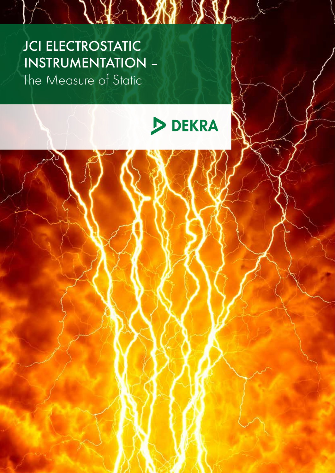# JCI ELECTROSTATIC INSTRUMENTATION – The Measure of Static



THE VIN 95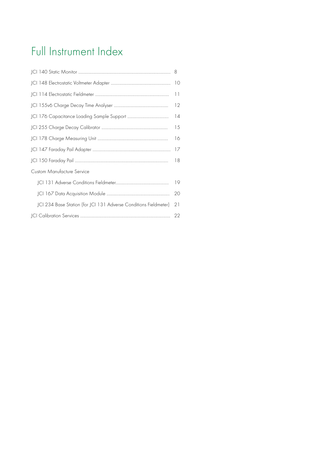# Full Instrument Index

|                                                                  | 11 |  |
|------------------------------------------------------------------|----|--|
|                                                                  | 12 |  |
| 14                                                               |    |  |
|                                                                  | 15 |  |
| 16                                                               |    |  |
|                                                                  | 17 |  |
|                                                                  | 18 |  |
| <b>Custom Manufacture Service</b>                                |    |  |
| 19                                                               |    |  |
|                                                                  | 20 |  |
| JCI 234 Base Station (for JCI 131 Adverse Conditions Fieldmeter) | 21 |  |
|                                                                  | 22 |  |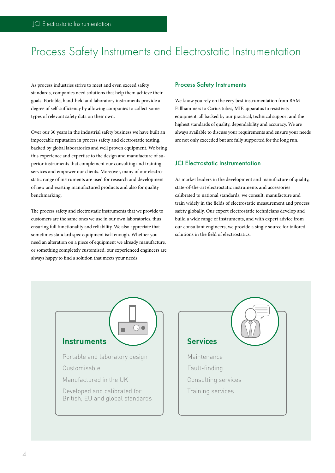# Process Safety Instruments and Electrostatic Instrumentation

As process industries strive to meet and even exceed safety standards, companies need solutions that help them achieve their goals. Portable, hand-held and laboratory instruments provide a degree of self-sufficiency by allowing companies to collect some types of relevant safety data on their own.

Over our 30 years in the industrial safety business we have built an impeccable reputation in process safety and electrostatic testing, backed by global laboratories and well proven equipment. We bring this experience and expertise to the design and manufacture of superior instruments that complement our consulting and training services and empower our clients. Moreover, many of our electrostatic range of instruments are used for research and development of new and existing manufactured products and also for quality benchmarking.

The process safety and electrostatic instruments that we provide to customers are the same ones we use in our own laboratories, thus ensuring full functionality and reliability. We also appreciate that sometimes standard spec equipment isn't enough. Whether you need an alteration on a piece of equipment we already manufacture, or something completely customised, our experienced engineers are always happy to find a solution that meets your needs.

#### Process Safety Instruments

We know you rely on the very best instrumentation from BAM Fallhammers to Carius tubes, MIE apparatus to resistivity equipment, all backed by our practical, technical support and the highest standards of quality, dependability and accuracy. We are always available to discuss your requirements and ensure your needs are not only exceeded but are fully supported for the long run.

#### JCI Electrostatic Instrumentation

As market leaders in the development and manufacture of quality, state-of-the-art electrostatic instruments and accessories calibrated to national standards, we consult, manufacture and train widely in the fields of electrostatic measurement and process safety globally. Our expert electrostatic technicians develop and build a wide range of instruments, and with expert advice from our consultant engineers, we provide a single source for tailored solutions in the field of electrostatics.



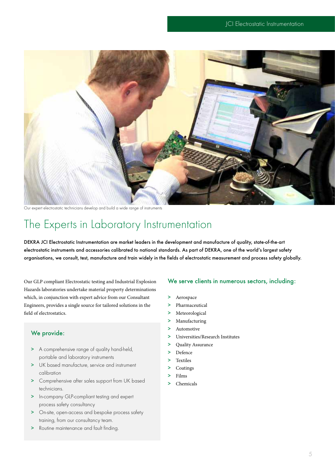

Our expert electrostatic technicians develop and build a wide range of instruments

# The Experts in Laboratory Instrumentation

DEKRA JCI Electrostatic Instrumentation are market leaders in the development and manufacture of quality, state-of-the-art electrostatic instruments and accessories calibrated to national standards. As part of DEKRA, one of the world's largest safety organisations, we consult, test, manufacture and train widely in the fields of electrostatic measurement and process safety globally.

Our GLP compliant Electrostatic testing and Industrial Explosion Hazards laboratories undertake material property determinations which, in conjunction with expert advice from our Consultant Engineers, provides a single source for tailored solutions in the field of electrostatics.

## We provide:

- > A comprehensive range of quality hand-held, portable and laboratory instruments
- > UK based manufacture, service and instrument calibration
- > Comprehensive after sales support from UK based technicians.
- > In-company GLP-compliant testing and expert process safety consultancy
- > On-site, open-access and bespoke process safety training, from our consultancy team.
- > Routine maintenance and fault finding.

#### We serve clients in numerous sectors, including:

- > Aerospace
- > Pharmaceutical
- > Meteorological
- > Manufacturing
- > Automotive
- > Universities/Research Institutes
- > Quality Assurance
- > Defence
- > Textiles
- > Coatings
- > Films
- > Chemicals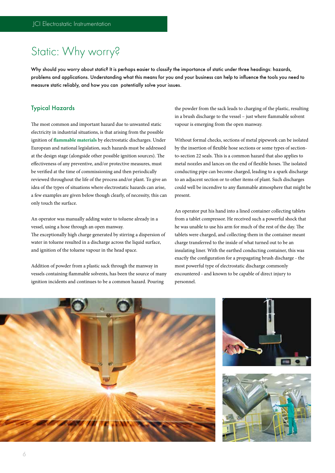# Static: Why worry?

Why should you worry about static? It is perhaps easier to classify the importance of static under three headings: hazards, problems and applications. Understanding what this means for you and your business can help to influence the tools you need to measure static reliably, and how you can potentially solve your issues.

#### Typical Hazards

The most common and important hazard due to unwanted static electricity in industrial situations, is that arising from the possible ignition of **flammable materials** by electrostatic discharges. Under European and national legislation, such hazards must be addressed at the design stage (alongside other possible ignition sources). The effectiveness of any preventive, and/or protective measures, must be verified at the time of commissioning and then periodically reviewed throughout the life of the process and/or plant. To give an idea of the types of situations where electrostatic hazards can arise, a few examples are given below though clearly, of necessity, this can only touch the surface.

An operator was manually adding water to toluene already in a vessel, using a hose through an open manway.

The exceptionally high charge generated by stirring a dispersion of water in toluene resulted in a discharge across the liquid surface, and ignition of the toluene vapour in the head space.

Addition of powder from a plastic sack through the manway in vessels containing flammable solvents, has been the source of many ignition incidents and continues to be a common hazard. Pouring

the powder from the sack leads to charging of the plastic, resulting in a brush discharge to the vessel – just where flammable solvent vapour is emerging from the open manway.

Without formal checks, sections of metal pipework can be isolated by the insertion of flexible hose sections or some types of sectionto-section 22 seals. This is a common hazard that also applies to metal nozzles and lances on the end of flexible hoses. The isolated conducting pipe can become charged, leading to a spark discharge to an adjacent section or to other items of plant. Such discharges could well be incendive to any flammable atmosphere that might be present.

An operator put his hand into a lined container collecting tablets from a tablet compressor. He received such a powerful shock that he was unable to use his arm for much of the rest of the day. The tablets were charged, and collecting them in the container meant charge transferred to the inside of what turned out to be an insulating liner. With the earthed conducting container, this was exactly the configuration for a propagating brush discharge - the most powerful type of electrostatic discharge commonly encountered - and known to be capable of direct injury to personnel.





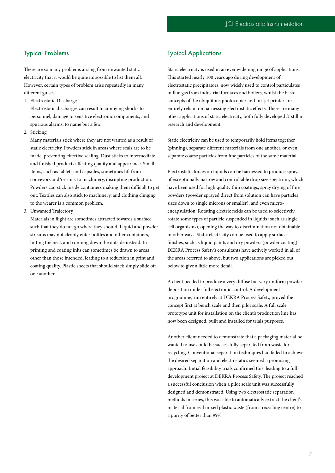## Typical Problems

There are so many problems arising from unwanted static electricity that it would be quite impossible to list them all. However, certain types of problem arise repeatedly in many different guises.

1. Electrostatic Discharge

Electrostatic discharges can result in annoying shocks to personnel, damage to sensitive electronic components, and spurious alarms, to name but a few.

2. Sticking

Many materials stick where they are not wanted as a result of static electricity. Powders stick in areas where seals are to be made, preventing effective sealing. Dust sticks to intermediate and finished products affecting quality and appearance. Small items, such as tablets and capsules, sometimes lift from conveyors and/or stick to machinery, disrupting production. Powders can stick inside containers making them difficult to get out. Textiles can also stick to machinery, and clothing clinging to the wearer is a common problem.

3. Unwanted Trajectory

Materials in flight are sometimes attracted towards a surface such that they do not go where they should. Liquid and powder streams may not cleanly enter bottles and other containers, hitting the neck and running down the outside instead. In printing and coating inks can sometimes be drawn to areas other than those intended, leading to a reduction in print and coating quality. Plastic sheets that should stack simply slide off one another.

## Typical Applications

Static electricity is used in an ever widening range of applications. This started nearly 100 years ago during development of electrostatic precipitators, now widely used to control particulates in flue gas from industrial furnaces and boilers, whilst the basic concepts of the ubiquitous photocopier and ink jet printer are entirely reliant on harnessing electrostatic effects. There are many other applications of static electricity, both fully developed & still in research and development.

Static electricity can be used to temporarily hold items together (pinning), separate different materials from one another, or even separate coarse particles from fine particles of the same material.

Electrostatic forces on liquids can be harnessed to produce sprays of exceptionally narrow and controllable drop size spectrum, which have been used for high quality thin coatings, spray drying of fine powders (powder sprayed direct from solution can have particles sizes down to single microns or smaller), and even microencapsulation. Rotating electric fields can be used to selectively rotate some types of particle suspended in liquids (such as single cell organisms), opening the way to discrimination not obtainable in other ways. Static electricity can be used to apply surface finishes, such as liquid paints and dry powders (powder coating). DEKRA Process Safety's consultants have actively worked in all of the areas referred to above, but two applications are picked out below to give a little more detail.

A client needed to produce a very diffuse but very uniform powder deposition under full electronic control. A development programme, run entirely at DEKRA Process Safety, proved the concept first at bench scale and then pilot scale. A full scale prototype unit for installation on the client's production line has now been designed, built and installed for trials purposes.

Another client needed to demonstrate that a packaging material he wanted to use could be successfully separated from waste for recycling. Conventional separation techniques had failed to achieve the desired separation and electrostatics seemed a promising approach. Initial feasibility trials confirmed this, leading to a full development project at DEKRA Process Safety. The project reached a successful conclusion when a pilot scale unit was successfully designed and demonstrated. Using two electrostatic separation methods in series, this was able to automatically extract the client's material from real mixed plastic waste (from a recycling centre) to a purity of better than 99%.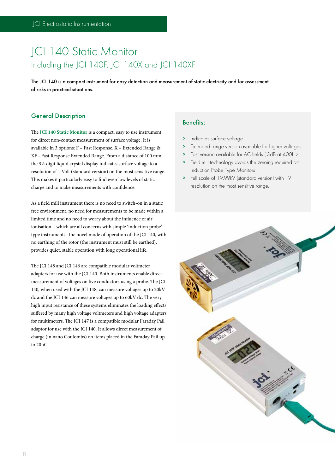# JCI 140 Static Monitor Including the JCI 140F, JCI 140X and JCI 140XF

The JCI 140 is a compact instrument for easy detection and measurement of static electricity and for assessment of risks in practical situations.

#### General Description

The **JCI 140 Static Monitor** is a compact, easy to use instrument for direct non-contact measurement of surface voltage. It is available in 3 options: F – Fast Response, X – Extended Range & XF - Fast Response Extended Range. From a distance of 100 mm the 3½ digit liquid crystal display indicates surface voltage to a resolution of 1 Volt (standard version) on the most sensitive range. This makes it particularly easy to find even low levels of static charge and to make measurements with confidence.

As a field mill instrument there is no need to switch-on in a static free environment, no need for measurements to be made within a limited time and no need to worry about the influence of air ionisation – which are all concerns with simple 'induction probe' type instruments. The novel mode of operation of the JCI 140, with no earthing of the rotor (the instrument must still be earthed), provides quiet, stable operation with long operational life.

The JCI 148 and JCI 146 are compatible modular voltmeter adapters for use with the JCI 140. Both instruments enable direct measurement of voltages on live conductors using a probe. The JCI 140, when used with the JCI 148, can measure voltages up to 20kV dc and the JCI 146 can measure voltages up to 60kV dc. The very high input resistance of these systems eliminates the loading effects suffered by many high voltage voltmeters and high voltage adapters for multimeters. The JCI 147 is a compatible modular Faraday Pail adaptor for use with the JCI 140. It allows direct measurement of charge (in nano Coulombs) on items placed in the Faraday Pail up to 20nC.

### Benefits:

- > Indicates surface voltage
- > Extended range version available for higher voltages
- > Fast version available for AC fields (-3dB at 400Hz)
- > Field mill technology avoids the zeroing required for Induction Probe Type Monitors
- > Full scale of 19.99kV (standard version) with 1V resolution on the most sensitive range.

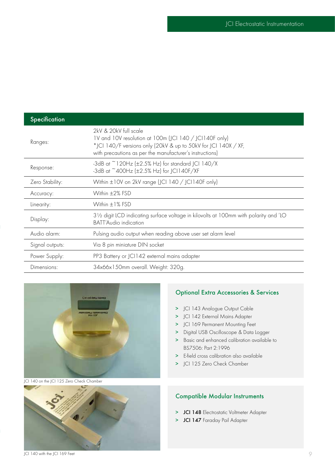| Specification   |                                                                                                                                                                                                               |
|-----------------|---------------------------------------------------------------------------------------------------------------------------------------------------------------------------------------------------------------|
| Ranges:         | 2kV & 20kV full scale<br>1V and 10V resolution at 100m (JCI 140 / JCI140F only)<br>*JCI 140/F versions only (20kV & up to 50kV for JCI 140X / XF,<br>with precautions as per the manufacturer's instructions) |
| Response:       | -3dB at $\degree$ 120Hz ( $\pm$ 2.5% Hz) for standard JCI 140/X<br>-3dB at ~400Hz (±2.5% Hz) for JCI140F/XF                                                                                                   |
| Zero Stability: | Within ±10V on 2kV range (JCI 140 / JCI140F only)                                                                                                                                                             |
| Accuracy:       | Within ±2% FSD                                                                                                                                                                                                |
| Linearity:      | Within ±1% FSD                                                                                                                                                                                                |
| Display:        | 31/2 digit LCD indicating surface voltage in kilovolts at 100mm with polarity and 'LO<br><b>BATT'Audio indication</b>                                                                                         |
| Audio alarm:    | Pulsing audio output when reading above user set alarm level                                                                                                                                                  |
| Signal outputs: | Via 8 pin miniature DIN socket                                                                                                                                                                                |
| Power Supply:   | PP3 Battery or JCI142 external mains adapter                                                                                                                                                                  |
| Dimensions:     | 34x66x150mm overall. Weight: 320g.                                                                                                                                                                            |



JCI 140 on the JCI 125 Zero Check Chamber



## Optional Extra Accessories & Services

- > JCI 143 Analogue Output Cable
- > JCI 142 External Mains Adapter
- > JCI 169 Permanent Mounting Feet
- > Digital USB Oscilloscope & Data Logger
- > Basic and enhanced calibration available to BS7506: Part 2:1996
- > E-field cross calibration also available
- > JCI 125 Zero Check Chamber

## Compatible Modular Instruments

- > JCI 148 Electrostatic Voltmeter Adapter
- > JCI 147 Faraday Pail Adapter

JCI 140 with the JCI 169 Feet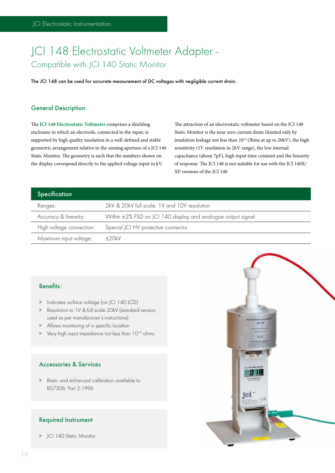# JCI 148 Electrostatic Voltmeter Adapter - Compatible with JCI 140 Static Monitor

The JCI 148 can be used for accurate measurement of DC voltages with negligible current drain.

## General Description

The **JCI 148 Electrostatic Voltmeter** comprises a shielding enclosure in which an electrode, connected to the input, is supported by high quality insulation in a well-defined and stable geometric arrangement relative to the sensing aperture of a JCI 140 Static Monitor. The geometry is such that the numbers shown on the display correspond directly to the applied voltage input in kV.

The attraction of an electrostatic voltmeter based on the JCI 140 Static Monitor is the near zero current drain (limited only by insulation leakage not less than  $10^{14}$  Ohms at up to 20kV), the high sensitivity (1V resolution in 2kV range), the low internal capacitance (about 7pF), high input time constant and the linearity of response. The JCI 148 is not suitable for use with the JCI 140X/ XF versions of the JCI 140

| Specification            |                                                              |
|--------------------------|--------------------------------------------------------------|
| Ranges:                  | 2kV & 20kV full scale. 1V and 10V resolution                 |
| Accuracy & linearity:    | Within ±2% FSD on JCI 140 display and analogue output signal |
| High voltage connection: | Special JCI HV protective connector                          |
| Maximum input voltage:   | $+20kV$                                                      |

#### Benefits:

- > Indicates surface voltage (on JCI 140 LCD)
- > Resolution to 1V & full scale 20kV (standard version, used as per manufacturer's instructions)
- > Allows monitoring of a specific location
- > Very high input impedance not less than 10<sup>14</sup> ohms.

## Accessories & Services

> Basic and enhanced calibration available to BS7506: Part 2:1996

#### Required Instrument

> JCI 140 Static Monitor

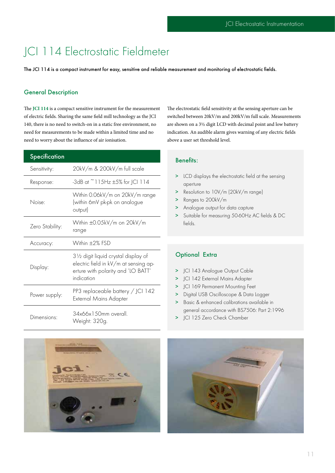# JCI 114 Electrostatic Fieldmeter

The JCI 114 is a compact instrument for easy, sensitive and reliable measurement and monitoring of electrostatic fields.

#### General Description

The **JCI 114** is a compact sensitive instrument for the measurement of electric fields. Sharing the same field mill technology as the JCI 140, there is no need to switch-on in a static free environment, no need for measurements to be made within a limited time and no need to worry about the influence of air ionisation.

| <b>Specification</b> |                                                                                                                                   |
|----------------------|-----------------------------------------------------------------------------------------------------------------------------------|
| Sensitivity:         | 20kV/m & 200kV/m full scale                                                                                                       |
| Response:            | -3dB at $\degree$ 115Hz $\pm$ 5% for JCI 114                                                                                      |
| Noise:               | Within 0.06kV/m on 20kV/m range<br>(within 6mV pk-pk on analogue<br>output)                                                       |
| Zero Stability:      | Within ±0.05kV/m on 20kV/m<br>range                                                                                               |
| Accuracy:            | Within ±2% FSD                                                                                                                    |
| Display:             | 31/2 digit liquid crystal display of<br>electric field in kV/m at sensing ap-<br>erture with polarity and 'LO BATT'<br>indication |
| Power supply:        | PP3 replaceable battery / JCI 142<br>External Mains Adapter                                                                       |
| Dimensions:          | 34x66x150mm overall.<br>Weight: 320g.                                                                                             |

The electrostatic field sensitivity at the sensing aperture can be switched between 20kV/m and 200kV/m full scale. Measurements are shown on a 3½ digit LCD with decimal point and low battery indication. An audible alarm gives warning of any electric fields above a user set threshold level.

## Benefits:

- > LCD displays the electrostatic field at the sensing aperture
- > Resolution to 10V/m (20kV/m range)
- > Ranges to 200kV/m
- > Analogue output for data capture
- > Suitable for measuring 50-60Hz AC fields & DC fields.

## Optional Extra

- > JCI 143 Analogue Output Cable
- > JCI 142 External Mains Adapter
- > JCI 169 Permanent Mounting Feet
- > Digital USB Oscilloscope & Data Logger
- > Basic & enhanced calibrations available in general accordance with BS7506: Part 2:1996
- > JCI 125 Zero Check Chamber



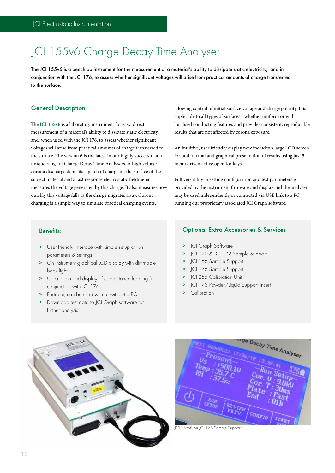# JCI 155v6 Charge Decay Time Analyser

The JCI 155v6 is a benchtop instrument for the measurement of a material's ability to dissipate static electricity, and in conjunction with the JCI 176, to assess whether significant voltages will arise from practical amounts of charge transferred to the surface.

### General Description

The **JCI 155v6** is a laboratory instrument for easy, direct measurement of a material's ability to dissipate static electricity and, when used with the JCI 176, to assess whether significant voltages will arise from practical amounts of charge transferred to the surface. The version 6 is the latest in our highly successful and unique range of Charge Decay Time Analysers. A high voltage corona discharge deposits a patch of charge on the surface of the subject material and a fast response electrostatic fieldmeter measures the voltage generated by this charge. It also measures how quickly this voltage falls as the charge migrates away. Corona charging is a simple way to simulate practical charging events,

allowing control of initial surface voltage and charge polarity. It is applicable to all types of surfaces - whether uniform or with localised conducting features and provides consistent, reproducible results that are not affected by corona exposure.

An intuitive, user friendly display now includes a large LCD screen for both textual and graphical presentation of results using just 5 menu driven active operator keys.

Full versatility in setting configuration and test parameters is provided by the instrument firmware and display and the analyser may be used independently or connected via USB link to a PC running our proprietary associated JCI Graph software.

### Benefits:

- > User friendly interface with simple setup of run parameters & settings
- > On instrument graphical LCD display with dimmable back light
- > Calculation and display of capacitance loading (in conjunction with ICI 176)
- > Portable, can be used with or without a PC
- > Download test data to JCI Graph software for further analysis.

#### Optional Extra Accessories & Services

- > ICI Graph Software
- > JCI 170 & JCI 172 Sample Support
- > JCI 166 Sample Support
- > JCI 176 Sample Support
- JCI 255 Calibration Unit
- > JCI 173 Powder/Liquid Support Insert
- > Calibration





JCI 155v6 on JCI 176 Sample Support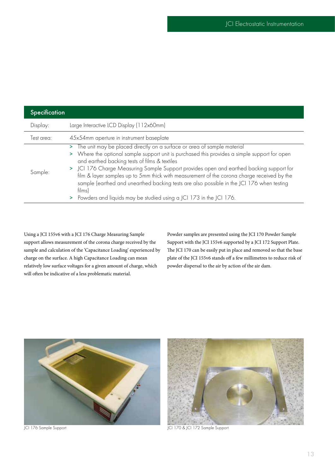| <b>Specification</b> |                                                                                                                                                                                                                                                                                                                                                                                                                                                                                                                                                                                                           |
|----------------------|-----------------------------------------------------------------------------------------------------------------------------------------------------------------------------------------------------------------------------------------------------------------------------------------------------------------------------------------------------------------------------------------------------------------------------------------------------------------------------------------------------------------------------------------------------------------------------------------------------------|
| Display:             | Large Interactive LCD Display (112x60mm)                                                                                                                                                                                                                                                                                                                                                                                                                                                                                                                                                                  |
| Test area:           | 45x54mm aperture in instrument baseplate                                                                                                                                                                                                                                                                                                                                                                                                                                                                                                                                                                  |
| Sample:              | The unit may be placed directly on a surface or area of sample material<br>><br>> Where the optional sample support unit is purchased this provides a simple support for open<br>and earthed backing tests of films & textiles<br>> JCI 176 Charge Measuring Sample Support provides open and earthed backing support for<br>film & layer samples up to 5mm thick with measurement of the corona charge received by the<br>sample (earthed and unearthed backing tests are also possible in the JCI 176 when testing<br>films)<br>Powders and liquids may be studied using a JCI 173 in the JCI 176.<br>> |

Using a JCI 155v6 with a JCI 176 Charge Measuring Sample support allows measurement of the corona charge received by the sample and calculation of the 'Capacitance Loading' experienced by charge on the surface. A high Capacitance Loading can mean relatively low surface voltages for a given amount of charge, which will often be indicative of a less problematic material.

Powder samples are presented using the JCI 170 Powder Sample Support with the JCI 155v6 supported by a JCI 172 Support Plate. The JCI 170 can be easily put in place and removed so that the base plate of the JCI 155v6 stands off a few millimetres to reduce risk of powder dispersal to the air by action of the air dam.





JCI 176 Sample Support **JCI 170 & JCI 172 Sample Support**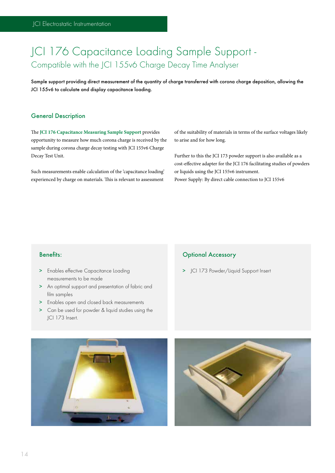# JCI 176 Capacitance Loading Sample Support - Compatible with the JCI 155v6 Charge Decay Time Analyser

Sample support providing direct measurement of the quantity of charge transferred with corona charge deposition, allowing the JCI 155v6 to calculate and display capacitance loading.

#### General Description

The **JCI 176 Capacitance Measuring Sample Support** provides opportunity to measure how much corona charge is received by the sample during corona charge decay testing with JCI 155v6 Charge Decay Test Unit.

Such measurements enable calculation of the 'capacitance loading' experienced by charge on materials. This is relevant to assessment

of the suitability of materials in terms of the surface voltages likely to arise and for how long.

Further to this the JCI 173 powder support is also available as a cost-effective adapter for the JCI 176 facilitating studies of powders or liquids using the JCI 155v6 instrument. Power Supply: By direct cable connection to JCI 155v6

#### Benefits:

- > Enables effective Capacitance Loading measurements to be made
- > An optimal support and presentation of fabric and film samples
- > Enables open and closed back measurements
- > Can be used for powder & liquid studies using the JCI 173 Insert.

## Optional Accessory

> JCI 173 Powder/Liquid Support Insert



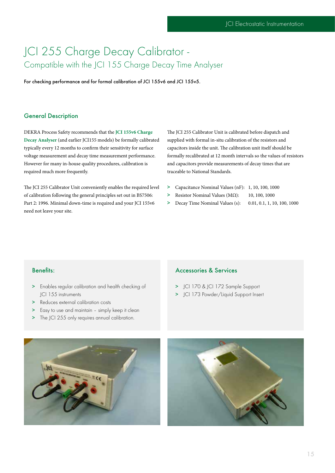## JCI 255 Charge Decay Calibrator - Compatible with the JCI 155 Charge Decay Time Analyser

For checking performance and for formal calibration of JCI 155v6 and JCI 155v5.

#### General Description

DEKRA Process Safety recommends that the **JCI 155v6 Charge Decay Analyser** (and earlier JCI155 models) be formally calibrated typically every 12 months to confirm their sensitivity for surface voltage measurement and decay time measurement performance. However for many in-house quality procedures, calibration is required much more frequently.

The JCI 255 Calibrator Unit conveniently enables the required level of calibration following the general principles set out in BS7506: Part 2: 1996. Minimal down-time is required and your JCI 155v6 need not leave your site.

The JCI 255 Calibrator Unit is calibrated before dispatch and supplied with formal in-situ calibration of the resistors and capacitors inside the unit. The calibration unit itself should be formally recalibrated at 12 month intervals so the values of resistors and capacitors provide measurements of decay times that are traceable to National Standards.

- > Capacitance Nominal Values (nF): 1, 10, 100, 1000
- $\geq$  Resistor Nominal Values (MΩ): 10, 100, 1000
- > Decay Time Nominal Values (s): 0.01, 0.1, 1, 10, 100, 1000

#### Benefits:

- > Enables regular calibration and health checking of JCI 155 instruments
- > Reduces external calibration costs
- > Easy to use and maintain simply keep it clean
- > The JCI 255 only requires annual calibration.

#### Accessories & Services

- > JCI 170 & JCI 172 Sample Support
- > JCI 173 Powder/Liquid Support Insert



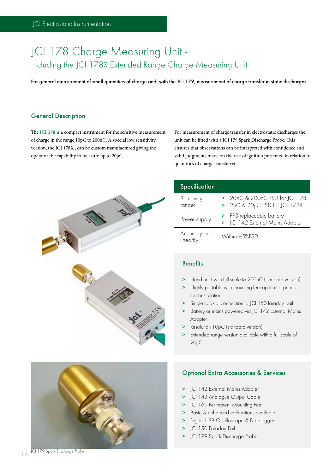## JCI 178 Charge Measuring Unit - Including the JCI 178X Extended Range Charge Measuring Unit

For general measurement of small quantities of charge and, with the JCI 179, measurement of charge transfer in static discharges.

#### General Description

The **JCI 178** is a compact instrument for the sensitive measurement of charge in the range 10pC to 200nC. A special low sensitivity version, the JCI 178X , can be custom manufactured giving the operator the capability to measure up to 20μC.

For measurement of charge transfer in electrostatic discharges the unit can be fitted with a JCI 179 Spark Discharge Probe. This ensures that observations can be interpreted with confidence and valid judgments made on the risk of ignition presented in relation to quantities of charge transferred.



| Specification              |                                                                 |
|----------------------------|-----------------------------------------------------------------|
| Sensitivity<br>range:      | > 20nC & 200nC FSD for JCI 178<br>> 2µC & 20µC FSD for JCI 178X |
| Power supply:              | > PP3 replaceable battery<br>> JCI 142 External Mains Adapter   |
| Accuracy and<br>linearity: | Within +5%FSD                                                   |

## Benefits:

- > Hand held with full scale to 200nC (standard version)
- > Highly portable with mounting feet option for permanent installation
- > Single coaxial connection to JCI 150 faraday pail
- > Battery or mains powered via JCI 142 External Mains Adapter
- > Resolution 10pC (standard version)
- > Extended range version available with a full scale of 20μC.



## Optional Extra Accessories & Services

- > JCI 142 External Mains Adapter
- > ICI 143 Analogue Output Cable
- > JCI 169 Permanent Mounting Feet
- > Basic & enhanced calibrations available
- > Digital USB Oscilloscope & Datalogger
- > JCI 150 Faraday Pail
- > JCI 179 Spark Discharge Probe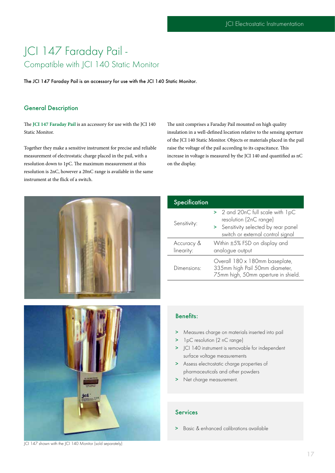## JCI 147 Faraday Pail - Compatible with JCI 140 Static Monitor

The JCI 147 Faraday Pail is an accessory for use with the JCI 140 Static Monitor.

### General Description

The **JCI 147 Faraday Pail** is an accessory for use with the JCI 140 Static Monitor.

Together they make a sensitive instrument for precise and reliable measurement of electrostatic charge placed in the pail, with a resolution down to 1pC. The maximum measurement at this resolution is 2nC, however a 20nC range is available in the same instrument at the flick of a switch.

The unit comprises a Faraday Pail mounted on high quality insulation in a well-defined location relative to the sensing aperture of the JCI 140 Static Monitor. Objects or materials placed in the pail raise the voltage of the pail according to its capacitance. This increase in voltage is measured by the JCI 140 and quantified as nC on the display.



| Specification            |                                                                                                                                         |
|--------------------------|-----------------------------------------------------------------------------------------------------------------------------------------|
| Sensitivity:             | > 2 and 20nC full scale with 1pC<br>resolution (2nC range)<br>> Sensitivity selected by rear panel<br>switch or external control signal |
| Accuracy &<br>linearity: | Within ±5% FSD on display and<br>analogue output                                                                                        |
| Dimensions:              | Overall 180 x 180mm baseplate,<br>335mm high Pail 50mm diameter,<br>75mm high, 50mm aperture in shield.                                 |
|                          |                                                                                                                                         |



Benefits:

- > Measures charge on materials inserted into pail
- > 1pC resolution (2 nC range)
- > JCI 140 instrument is removable for independent surface voltage measurements
- > Assess electrostatic charge properties of pharmaceuticals and other powders
- > Net charge measurement.

#### Services

> Basic & enhanced calibrations available

JCI 147 shown with the JCI 140 Monitor (sold separately)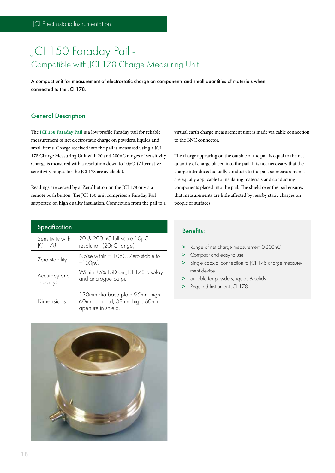# JCI 150 Faraday Pail -Compatible with JCI 178 Charge Measuring Unit

A compact unit for measurement of electrostatic charge on components and small quantities of materials when connected to the JCI 178.

#### General Description

The **JCI 150 Faraday Pail** is a low profile Faraday pail for reliable measurement of net electrostatic charge on powders, liquids and small items. Charge received into the pail is measured using a JCI 178 Charge Measuring Unit with 20 and 200nC ranges of sensitivity. Charge is measured with a resolution down to 10pC. (Alternative sensitivity ranges for the JCI 178 are available).

Readings are zeroed by a 'Zero' button on the JCI 178 or via a remote push button. The JCI 150 unit comprises a Faraday Pail supported on high quality insulation. Connection from the pail to a

| <b>Specification</b>         |                                                                                         |
|------------------------------|-----------------------------------------------------------------------------------------|
| Sensitivity with<br>JCI 178: | 20 & 200 nC full scale 10pC<br>resolution (20nC range)                                  |
| Zero stability:              | Noise within $\pm$ 10pC. Zero stable to<br>±100pC                                       |
| Accuracy and<br>linearity:   | Within ±5% FSD on JCI 178 display<br>and analogue output                                |
| Dimensions <sup>.</sup>      | 130mm dia base plate 95mm high<br>60mm dia pail, 38mm high. 60mm<br>aperture in shield. |



virtual earth charge measurement unit is made via cable connection to the BNC connector.

The charge appearing on the outside of the pail is equal to the net quantity of charge placed into the pail. It is not necessary that the charge introduced actually conducts to the pail, so measurements are equally applicable to insulating materials and conducting components placed into the pail. The shield over the pail ensures that measurements are little affected by nearby static charges on people or surfaces.

## Benefits:

- > Range of net charge measurement 0-200nC
- > Compact and easy to use
- > Single coaxial connection to JCI 178 charge measurement device
- > Suitable for powders, liquids & solids.
- > Required Instrument JCI 178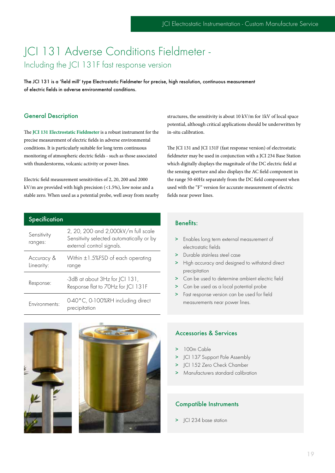## JCI 131 Adverse Conditions Fieldmeter - Including the JCI 131F fast response version

The JCI 131 is a 'field mill' type Electrostatic Fieldmeter for precise, high resolution, continuous measurement of electric fields in adverse environmental conditions.

#### General Description

The **JCI 131 Electrostatic Fieldmeter** is a robust instrument for the precise measurement of electric fields in adverse environmental conditions. It is particularly suitable for long term continuous monitoring of atmospheric electric fields - such as those associated with thunderstorms, volcanic activity or power-lines.

Electric field measurement sensitivities of 2, 20, 200 and 2000 kV/m are provided with high precision (<1.5%), low noise and a stable zero. When used as a potential probe, well away from nearby

| Specification             |                                                                                                              |
|---------------------------|--------------------------------------------------------------------------------------------------------------|
| Sensitivity<br>ranges:    | 2, 20, 200 and 2,000kV/m full scale<br>Sensitivity selected automatically or by<br>external control signals. |
| Accuracy &<br>Linearity:  | Within $\pm 1.5\%$ FSD of each operating<br>range                                                            |
| Response:                 | -3dB at about 3Hz for JCI 131,<br>Response flat to 70Hz for JCI 131F                                         |
| Environments <sup>.</sup> | 0-40°C, 0-100%RH including direct<br>precipitation                                                           |





structures, the sensitivity is about 10 kV/m for 1kV of local space potential, although critical applications should be underwritten by in-situ calibration.

The JCI 131 and JCI 131F (fast response version) of electrostatic fieldmeter may be used in conjunction with a JCI 234 Base Station which digitally displays the magnitude of the DC electric field at the sensing aperture and also displays the AC field component in the range 50-60Hz separately from the DC field component when used with the "F" version for accurate measurement of electric fields near power lines.

### Benefits:

- > Enables long term external measurement of electrostatic fields
- > Durable stainless steel case
- > High accuracy and designed to withstand direct precipitation
- > Can be used to determine ambient electric field
- > Can be used as a local potential probe
- > Fast response version can be used for field measurements near power lines.

## Accessories & Services

- > 100m Cable
- > JCI 137 Support Pole Assembly
- > JCI 152 Zero Check Chamber
- > Manufacturers standard calibration

#### Compatible Instruments

> JCI 234 base station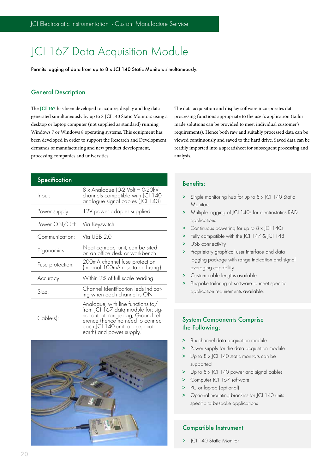# JCI 167 Data Acquisition Module

Permits logging of data from up to 8 x JCI 140 Static Monitors simultaneously.

#### General Description

The **JCI 167** has been developed to acquire, display and log data generated simultaneously by up to 8 JCI 140 Static Monitors using a desktop or laptop computer (not supplied as standard) running Windows 7 or Windows 8 operating systems. This equipment has been developed in order to support the Research and Development demands of manufacturing and new product development, processing companies and universities.

#### **Specification**

| Input:                      | 8 x Analogue (0-2 Volt = 0-20kV<br>channels compatible with JCI 140<br>analogue signal cables (JCI 143)                                                                                                                |
|-----------------------------|------------------------------------------------------------------------------------------------------------------------------------------------------------------------------------------------------------------------|
| Power supply:               | 12V power adapter supplied                                                                                                                                                                                             |
| Power ON/OFF: Via Keyswitch |                                                                                                                                                                                                                        |
| Communication:              | Via USB 2.0                                                                                                                                                                                                            |
| Ergonomics:                 | Neat compact unit, can be sited<br>on an office desk or workbench                                                                                                                                                      |
| Fuse protection:            | 200mA channel fuse protection<br>(internal 100mA resettable fusing)                                                                                                                                                    |
| Accuracy:                   | Within 2% of full scale reading                                                                                                                                                                                        |
| Size:                       | Channel identification leds indicat-<br>ing when each channel is ON                                                                                                                                                    |
| Cable(s):                   | Analogue, with line functions to/ $\,$<br>from JCI 167 data module for: sig-<br>nal output, range flag, Ground ref-<br>erence (hence no need to connect<br>each JCI 140 unit to a separate<br>earth) and power supply. |



The data acquisition and display software incorporates data processing functions appropriate to the user's application (tailor made solutions can be provided to meet individual customer's requirements). Hence both raw and suitably processed data can be viewed continuously and saved to the hard drive. Saved data can be readily imported into a spreadsheet for subsequent processing and analysis.

## Benefits:

- > Single monitoring hub for up to 8 x JCI 140 Static **Monitors**
- > Multiple logging of JCI 140s for electrostatics R&D applications
- > Continuous powering for up to 8 x JCI 140s
- > Fully compatible with the JCI 147 & JCI 148
- > USB connectivity
- > Proprietary graphical user interface and data logging package with range indication and signal averaging capability
- > Custom cable lengths available
- > Bespoke tailoring of software to meet specific application requirements available.

## System Components Comprise the Following:

- 8 x channel data acquisition module
- > Power supply for the data acquisition module
- > Up to 8 x JCI 140 static monitors can be supported
- > Up to 8 x JCI 140 power and signal cables
- > Computer | CI 167 software
- > PC or laptop (optional)
- > Optional mounting brackets for JCI 140 units specific to bespoke applications

## Compatible Instrument

> JCI 140 Static Monitor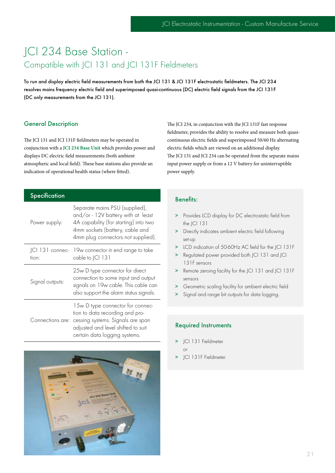# JCI 234 Base Station - Compatible with JCI 131 and JCI 131F Fieldmeters

To run and display electric field measurements from both the JCI 131 & JCI 131F electrostatic fieldmeters. The JCI 234 resolves mains frequency electric field and superimposed quasi-continuous (DC) electric field signals from the JCI 131F (DC only measurements from the JCI 131).

## General Description

The JCI 131 and JCI 131F fieldmeters may be operated in conjunction with a **JCI 234 Base Unit** which provides power and displays DC electric field measurements (both ambient atmospheric and local field). These base stations also provide an indication of operational health status (where fitted).

| Specification            |                                                                                                                                                                                                  |
|--------------------------|--------------------------------------------------------------------------------------------------------------------------------------------------------------------------------------------------|
| Power supply:            | Separate mains PSU (supplied),<br>and/or - 12V battery with at least<br>4A capability (for starting) into two<br>4mm sockets (battery, cable and<br>4mm plug connectors not supplied).           |
| ICI 131 connec-<br>tion: | 19w connector in end range to take<br>cable to JCI 131                                                                                                                                           |
| Signal outputs:          | 25w D type connector for direct<br>connection to some input and output<br>signals on 19w cable. This cable can<br>also support the alarm status signals.                                         |
|                          | 15w D type connector for connec-<br>tion to data recording and pro-<br>Connections are: cessing systems. Signals are span<br>adjusted and level shifted to suit<br>certain data logging systems. |



The JCI 234, in conjunction with the JCI 131F fast response fieldmeter, provides the ability to resolve and measure both quasicontinuous electric fields and superimposed 50/60 Hz alternating electric fields which are viewed on an additional display. The JCI 131 and JCI 234 can be operated from the separate mains input power supply or from a 12 V battery for uninterruptible power supply.

## Benefits:

- > Provides LCD display for DC electrostatic field from the JCI 131
- > Directly indicates ambient electric field following set-up
- > LCD indication of 50-60Hz AC field for the JCI 131F
- > Regulated power provided both JCI 131 and JCI 131F sensors
- > Remote zeroing facility for the JCI 131 and JCI 131F sensors
- > Geometric scaling facility for ambient electric field
- > Signal and range bit outputs for data logging.

#### Required Instruments

- > ICI 131 Fieldmeter
	- or
- > JCI 131F Fieldmeter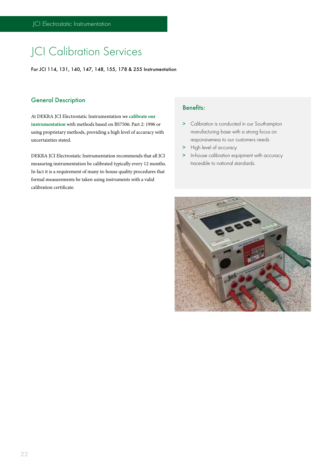# JCI Calibration Services

For JCI 114, 131, 140, 147, 148, 155, 178 & 255 Instrumentation

### General Description

At DEKRA JCI Electrostatic Instrumentation we **calibrate our instrumentation** with methods based on BS7506: Part 2: 1996 or using proprietary methods, providing a high level of accuracy with uncertainties stated.

DEKRA JCI Electrostatic Instrumentation recommends that all JCI measuring instrumentation be calibrated typically every 12 months. In fact it is a requirement of many in-house quality procedures that formal measurements be taken using instruments with a valid calibration certificate.

## Benefits:

- > Calibration is conducted in our Southampton manufacturing base with a strong focus on responsiveness to our customers needs
- > High level of accuracy
- > In-house calibration equipment with accuracy traceable to national standards.

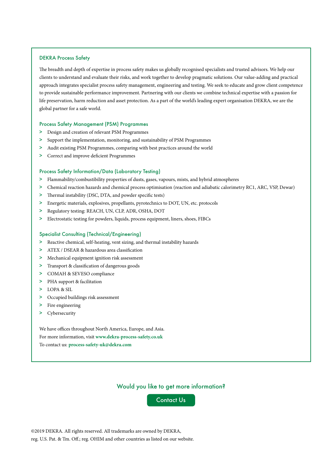#### DEKRA Process Safety

The breadth and depth of expertise in process safety makes us globally recognised specialists and trusted advisors. We help our clients to understand and evaluate their risks, and work together to develop pragmatic solutions. Our value-adding and practical approach integrates specialist process safety management, engineering and testing. We seek to educate and grow client competence to provide sustainable performance improvement. Partnering with our clients we combine technical expertise with a passion for life preservation, harm reduction and asset protection. As a part of the world's leading expert organisation DEKRA, we are the global partner for a safe world.

#### Process Safety Management (PSM) Programmes

- > Design and creation of relevant PSM Programmes
- > Support the implementation, monitoring, and sustainability of PSM Programmes
- > Audit existing PSM Programmes, comparing with best practices around the world
- > Correct and improve deficient Programmes

#### Process Safety Information/Data (Laboratory Testing)

- > Flammability/combustibility properties of dusts, gases, vapours, mists, and hybrid atmospheres
- > Chemical reaction hazards and chemical process optimisation (reaction and adiabatic calorimetry RC1, ARC, VSP, Dewar)
- > Thermal instability (DSC, DTA, and powder specific tests)
- > Energetic materials, explosives, propellants, pyrotechnics to DOT, UN, etc. protocols
- > Regulatory testing: REACH, UN, CLP, ADR, OSHA, DOT
- > Electrostatic testing for powders, liquids, process equipment, liners, shoes, FIBCs

#### Specialist Consulting (Technical/Engineering)

- > Reactive chemical, self-heating, vent sizing, and thermal instability hazards
- > ATEX / DSEAR & hazardous area classification
- > Mechanical equipment ignition risk assessment
- > Transport & classification of dangerous goods
- > COMAH & SEVESO compliance
- > PHA support & facilitation
- > LOPA & SIL
- > Occupied buildings risk assessment
- > Fire engineering
- > Cybersecurity

We have offices throughout North America, Europe, and Asia. For more information, visit **www.dekra-process-safety.co.uk** To contact us: **process-safety-uk@dekra.com**

#### Would you like to get more information?

Contact Us

©2019 DEKRA. All rights reserved. All trademarks are owned by DEKRA, reg. U.S. Pat. & Tm. Off.; reg. OHIM and other countries as listed on our website.